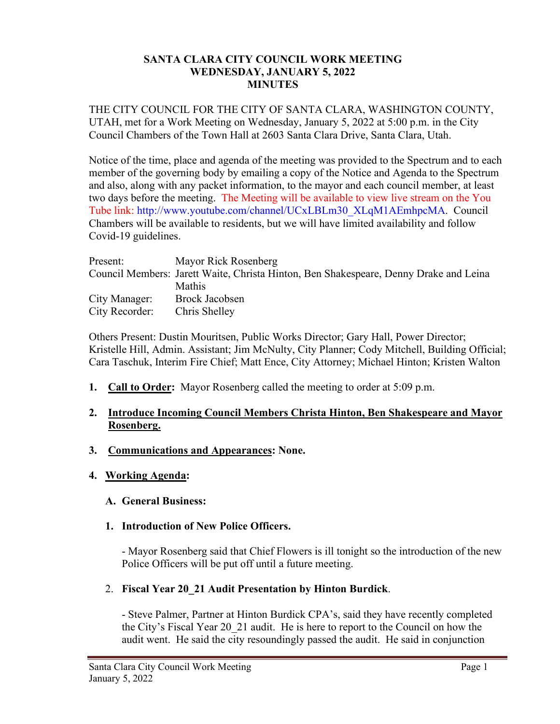#### **SANTA CLARA CITY COUNCIL WORK MEETING WEDNESDAY, JANUARY 5, 2022 MINUTES**

THE CITY COUNCIL FOR THE CITY OF SANTA CLARA, WASHINGTON COUNTY, UTAH, met for a Work Meeting on Wednesday, January 5, 2022 at 5:00 p.m. in the City Council Chambers of the Town Hall at 2603 Santa Clara Drive, Santa Clara, Utah.

Notice of the time, place and agenda of the meeting was provided to the Spectrum and to each member of the governing body by emailing a copy of the Notice and Agenda to the Spectrum and also, along with any packet information, to the mayor and each council member, at least two days before the meeting. The Meeting will be available to view live stream on the You Tube link: http://www.youtube.com/channel/UCxLBLm30\_XLqM1AEmhpcMA. Council Chambers will be available to residents, but we will have limited availability and follow Covid-19 guidelines.

| Present:       | Mayor Rick Rosenberg                                                                  |
|----------------|---------------------------------------------------------------------------------------|
|                | Council Members: Jarett Waite, Christa Hinton, Ben Shakespeare, Denny Drake and Leina |
|                | <b>Mathis</b>                                                                         |
| City Manager:  | Brock Jacobsen                                                                        |
| City Recorder: | Chris Shelley                                                                         |

Others Present: Dustin Mouritsen, Public Works Director; Gary Hall, Power Director; Kristelle Hill, Admin. Assistant; Jim McNulty, City Planner; Cody Mitchell, Building Official; Cara Taschuk, Interim Fire Chief; Matt Ence, City Attorney; Michael Hinton; Kristen Walton

**1. Call to Order:** Mayor Rosenberg called the meeting to order at 5:09 p.m.

#### **2. Introduce Incoming Council Members Christa Hinton, Ben Shakespeare and Mayor Rosenberg.**

- **3. Communications and Appearances: None.**
- **4. Working Agenda:**
	- **A. General Business:**

#### **1. Introduction of New Police Officers.**

- Mayor Rosenberg said that Chief Flowers is ill tonight so the introduction of the new Police Officers will be put off until a future meeting.

2. **Fiscal Year 20\_21 Audit Presentation by Hinton Burdick**.

- Steve Palmer, Partner at Hinton Burdick CPA's, said they have recently completed the City's Fiscal Year 20\_21 audit. He is here to report to the Council on how the audit went. He said the city resoundingly passed the audit. He said in conjunction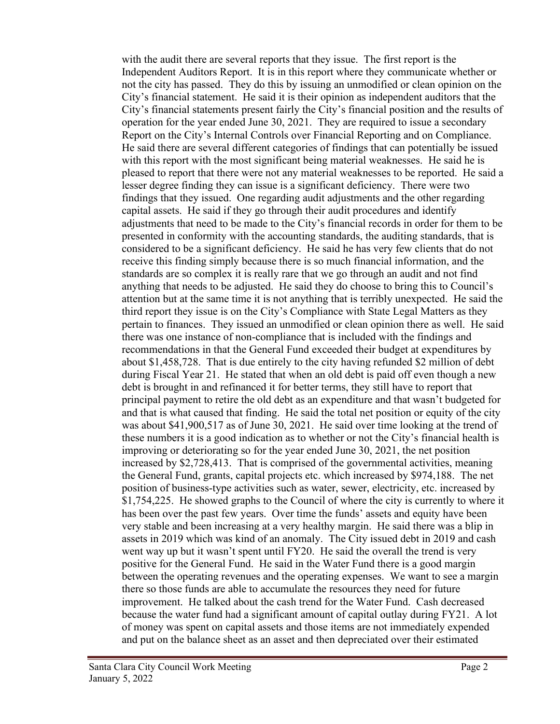with the audit there are several reports that they issue. The first report is the Independent Auditors Report. It is in this report where they communicate whether or not the city has passed. They do this by issuing an unmodified or clean opinion on the City's financial statement. He said it is their opinion as independent auditors that the City's financial statements present fairly the City's financial position and the results of operation for the year ended June 30, 2021. They are required to issue a secondary Report on the City's Internal Controls over Financial Reporting and on Compliance. He said there are several different categories of findings that can potentially be issued with this report with the most significant being material weaknesses. He said he is pleased to report that there were not any material weaknesses to be reported. He said a lesser degree finding they can issue is a significant deficiency. There were two findings that they issued. One regarding audit adjustments and the other regarding capital assets. He said if they go through their audit procedures and identify adjustments that need to be made to the City's financial records in order for them to be presented in conformity with the accounting standards, the auditing standards, that is considered to be a significant deficiency. He said he has very few clients that do not receive this finding simply because there is so much financial information, and the standards are so complex it is really rare that we go through an audit and not find anything that needs to be adjusted. He said they do choose to bring this to Council's attention but at the same time it is not anything that is terribly unexpected. He said the third report they issue is on the City's Compliance with State Legal Matters as they pertain to finances. They issued an unmodified or clean opinion there as well. He said there was one instance of non-compliance that is included with the findings and recommendations in that the General Fund exceeded their budget at expenditures by about \$1,458,728. That is due entirely to the city having refunded \$2 million of debt during Fiscal Year 21. He stated that when an old debt is paid off even though a new debt is brought in and refinanced it for better terms, they still have to report that principal payment to retire the old debt as an expenditure and that wasn't budgeted for and that is what caused that finding. He said the total net position or equity of the city was about \$41,900,517 as of June 30, 2021. He said over time looking at the trend of these numbers it is a good indication as to whether or not the City's financial health is improving or deteriorating so for the year ended June 30, 2021, the net position increased by \$2,728,413. That is comprised of the governmental activities, meaning the General Fund, grants, capital projects etc. which increased by \$974,188. The net position of business-type activities such as water, sewer, electricity, etc. increased by \$1,754,225. He showed graphs to the Council of where the city is currently to where it has been over the past few years. Over time the funds' assets and equity have been very stable and been increasing at a very healthy margin. He said there was a blip in assets in 2019 which was kind of an anomaly. The City issued debt in 2019 and cash went way up but it wasn't spent until FY20. He said the overall the trend is very positive for the General Fund. He said in the Water Fund there is a good margin between the operating revenues and the operating expenses. We want to see a margin there so those funds are able to accumulate the resources they need for future improvement. He talked about the cash trend for the Water Fund. Cash decreased because the water fund had a significant amount of capital outlay during FY21. A lot of money was spent on capital assets and those items are not immediately expended and put on the balance sheet as an asset and then depreciated over their estimated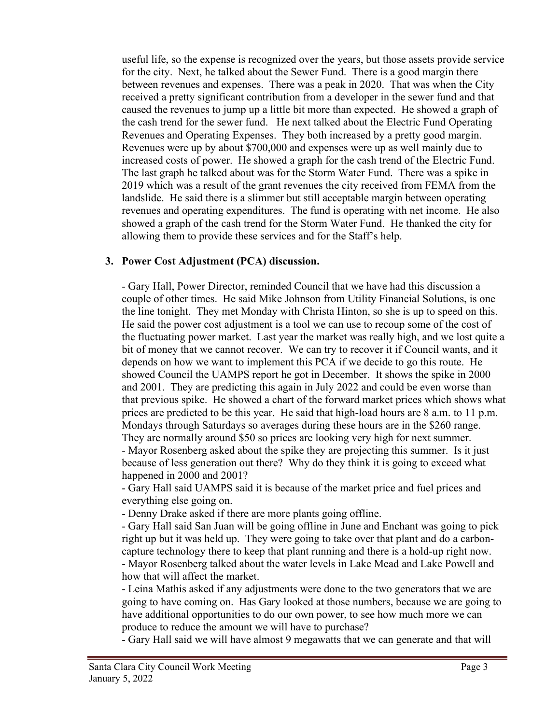useful life, so the expense is recognized over the years, but those assets provide service for the city. Next, he talked about the Sewer Fund. There is a good margin there between revenues and expenses. There was a peak in 2020. That was when the City received a pretty significant contribution from a developer in the sewer fund and that caused the revenues to jump up a little bit more than expected. He showed a graph of the cash trend for the sewer fund. He next talked about the Electric Fund Operating Revenues and Operating Expenses. They both increased by a pretty good margin. Revenues were up by about \$700,000 and expenses were up as well mainly due to increased costs of power. He showed a graph for the cash trend of the Electric Fund. The last graph he talked about was for the Storm Water Fund. There was a spike in 2019 which was a result of the grant revenues the city received from FEMA from the landslide. He said there is a slimmer but still acceptable margin between operating revenues and operating expenditures. The fund is operating with net income. He also showed a graph of the cash trend for the Storm Water Fund. He thanked the city for allowing them to provide these services and for the Staff's help.

#### **3. Power Cost Adjustment (PCA) discussion.**

- Gary Hall, Power Director, reminded Council that we have had this discussion a couple of other times. He said Mike Johnson from Utility Financial Solutions, is one the line tonight. They met Monday with Christa Hinton, so she is up to speed on this. He said the power cost adjustment is a tool we can use to recoup some of the cost of the fluctuating power market. Last year the market was really high, and we lost quite a bit of money that we cannot recover. We can try to recover it if Council wants, and it depends on how we want to implement this PCA if we decide to go this route. He showed Council the UAMPS report he got in December. It shows the spike in 2000 and 2001. They are predicting this again in July 2022 and could be even worse than that previous spike. He showed a chart of the forward market prices which shows what prices are predicted to be this year. He said that high-load hours are 8 a.m. to 11 p.m. Mondays through Saturdays so averages during these hours are in the \$260 range. They are normally around \$50 so prices are looking very high for next summer. - Mayor Rosenberg asked about the spike they are projecting this summer. Is it just because of less generation out there? Why do they think it is going to exceed what happened in 2000 and 2001?

- Gary Hall said UAMPS said it is because of the market price and fuel prices and everything else going on.

- Denny Drake asked if there are more plants going offline.

- Gary Hall said San Juan will be going offline in June and Enchant was going to pick right up but it was held up. They were going to take over that plant and do a carboncapture technology there to keep that plant running and there is a hold-up right now. - Mayor Rosenberg talked about the water levels in Lake Mead and Lake Powell and

how that will affect the market.

- Leina Mathis asked if any adjustments were done to the two generators that we are going to have coming on. Has Gary looked at those numbers, because we are going to have additional opportunities to do our own power, to see how much more we can produce to reduce the amount we will have to purchase?

- Gary Hall said we will have almost 9 megawatts that we can generate and that will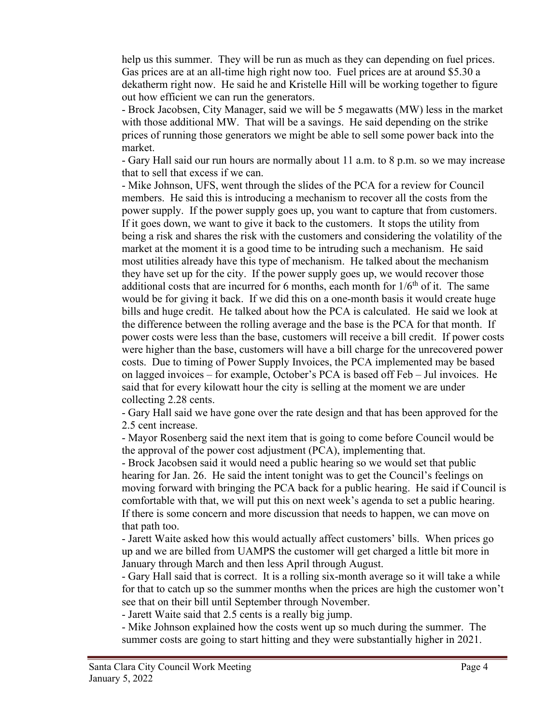help us this summer. They will be run as much as they can depending on fuel prices. Gas prices are at an all-time high right now too. Fuel prices are at around \$5.30 a dekatherm right now. He said he and Kristelle Hill will be working together to figure out how efficient we can run the generators.

- Brock Jacobsen, City Manager, said we will be 5 megawatts (MW) less in the market with those additional MW. That will be a savings. He said depending on the strike prices of running those generators we might be able to sell some power back into the market.

- Gary Hall said our run hours are normally about 11 a.m. to 8 p.m. so we may increase that to sell that excess if we can.

- Mike Johnson, UFS, went through the slides of the PCA for a review for Council members. He said this is introducing a mechanism to recover all the costs from the power supply. If the power supply goes up, you want to capture that from customers. If it goes down, we want to give it back to the customers. It stops the utility from being a risk and shares the risk with the customers and considering the volatility of the market at the moment it is a good time to be intruding such a mechanism. He said most utilities already have this type of mechanism. He talked about the mechanism they have set up for the city. If the power supply goes up, we would recover those additional costs that are incurred for 6 months, each month for  $1/6<sup>th</sup>$  of it. The same would be for giving it back. If we did this on a one-month basis it would create huge bills and huge credit. He talked about how the PCA is calculated. He said we look at the difference between the rolling average and the base is the PCA for that month. If power costs were less than the base, customers will receive a bill credit. If power costs were higher than the base, customers will have a bill charge for the unrecovered power costs. Due to timing of Power Supply Invoices, the PCA implemented may be based on lagged invoices – for example, October's PCA is based off Feb – Jul invoices. He said that for every kilowatt hour the city is selling at the moment we are under collecting 2.28 cents.

- Gary Hall said we have gone over the rate design and that has been approved for the 2.5 cent increase.

- Mayor Rosenberg said the next item that is going to come before Council would be the approval of the power cost adjustment (PCA), implementing that.

- Brock Jacobsen said it would need a public hearing so we would set that public hearing for Jan. 26. He said the intent tonight was to get the Council's feelings on moving forward with bringing the PCA back for a public hearing. He said if Council is comfortable with that, we will put this on next week's agenda to set a public hearing. If there is some concern and more discussion that needs to happen, we can move on that path too.

- Jarett Waite asked how this would actually affect customers' bills. When prices go up and we are billed from UAMPS the customer will get charged a little bit more in January through March and then less April through August.

- Gary Hall said that is correct. It is a rolling six-month average so it will take a while for that to catch up so the summer months when the prices are high the customer won't see that on their bill until September through November.

- Jarett Waite said that 2.5 cents is a really big jump.

- Mike Johnson explained how the costs went up so much during the summer. The summer costs are going to start hitting and they were substantially higher in 2021.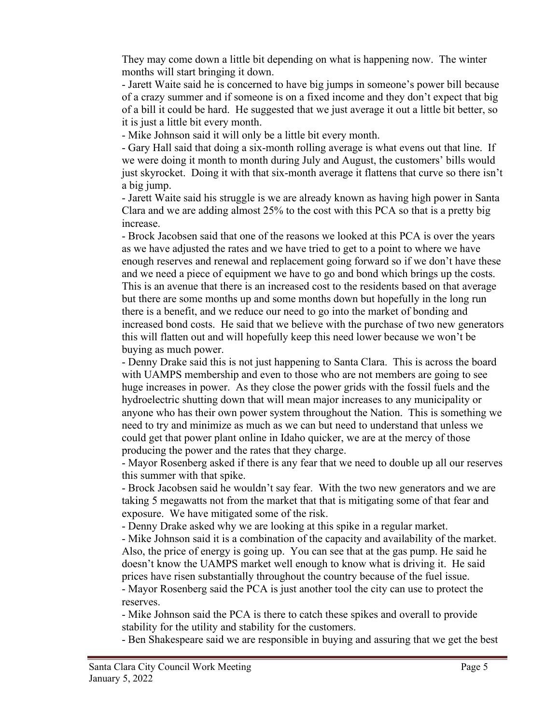They may come down a little bit depending on what is happening now. The winter months will start bringing it down.

- Jarett Waite said he is concerned to have big jumps in someone's power bill because of a crazy summer and if someone is on a fixed income and they don't expect that big of a bill it could be hard. He suggested that we just average it out a little bit better, so it is just a little bit every month.

- Mike Johnson said it will only be a little bit every month.

- Gary Hall said that doing a six-month rolling average is what evens out that line. If we were doing it month to month during July and August, the customers' bills would just skyrocket. Doing it with that six-month average it flattens that curve so there isn't a big jump.

- Jarett Waite said his struggle is we are already known as having high power in Santa Clara and we are adding almost 25% to the cost with this PCA so that is a pretty big increase.

- Brock Jacobsen said that one of the reasons we looked at this PCA is over the years as we have adjusted the rates and we have tried to get to a point to where we have enough reserves and renewal and replacement going forward so if we don't have these and we need a piece of equipment we have to go and bond which brings up the costs. This is an avenue that there is an increased cost to the residents based on that average but there are some months up and some months down but hopefully in the long run there is a benefit, and we reduce our need to go into the market of bonding and increased bond costs. He said that we believe with the purchase of two new generators this will flatten out and will hopefully keep this need lower because we won't be buying as much power.

- Denny Drake said this is not just happening to Santa Clara. This is across the board with UAMPS membership and even to those who are not members are going to see huge increases in power. As they close the power grids with the fossil fuels and the hydroelectric shutting down that will mean major increases to any municipality or anyone who has their own power system throughout the Nation. This is something we need to try and minimize as much as we can but need to understand that unless we could get that power plant online in Idaho quicker, we are at the mercy of those producing the power and the rates that they charge.

- Mayor Rosenberg asked if there is any fear that we need to double up all our reserves this summer with that spike.

- Brock Jacobsen said he wouldn't say fear. With the two new generators and we are taking 5 megawatts not from the market that that is mitigating some of that fear and exposure. We have mitigated some of the risk.

- Denny Drake asked why we are looking at this spike in a regular market.

- Mike Johnson said it is a combination of the capacity and availability of the market. Also, the price of energy is going up. You can see that at the gas pump. He said he doesn't know the UAMPS market well enough to know what is driving it. He said prices have risen substantially throughout the country because of the fuel issue.

- Mayor Rosenberg said the PCA is just another tool the city can use to protect the reserves.

- Mike Johnson said the PCA is there to catch these spikes and overall to provide stability for the utility and stability for the customers.

- Ben Shakespeare said we are responsible in buying and assuring that we get the best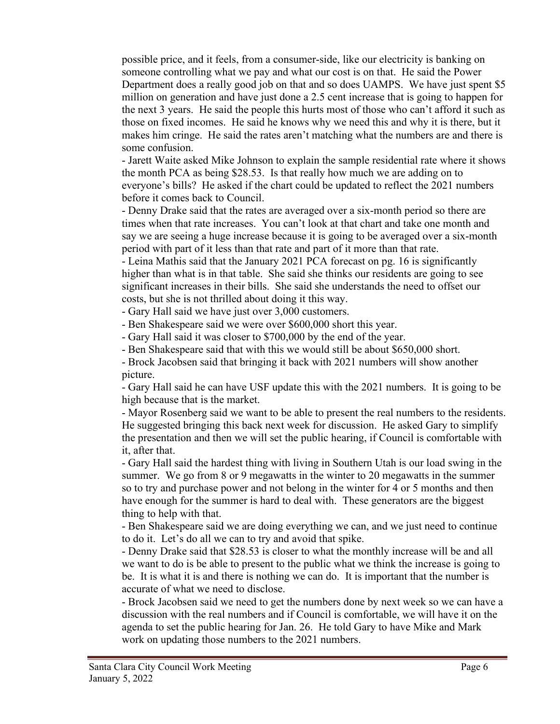possible price, and it feels, from a consumer-side, like our electricity is banking on someone controlling what we pay and what our cost is on that. He said the Power Department does a really good job on that and so does UAMPS. We have just spent \$5 million on generation and have just done a 2.5 cent increase that is going to happen for the next 3 years. He said the people this hurts most of those who can't afford it such as those on fixed incomes. He said he knows why we need this and why it is there, but it makes him cringe. He said the rates aren't matching what the numbers are and there is some confusion.

- Jarett Waite asked Mike Johnson to explain the sample residential rate where it shows the month PCA as being \$28.53. Is that really how much we are adding on to everyone's bills? He asked if the chart could be updated to reflect the 2021 numbers before it comes back to Council.

- Denny Drake said that the rates are averaged over a six-month period so there are times when that rate increases. You can't look at that chart and take one month and say we are seeing a huge increase because it is going to be averaged over a six-month period with part of it less than that rate and part of it more than that rate.

- Leina Mathis said that the January 2021 PCA forecast on pg. 16 is significantly higher than what is in that table. She said she thinks our residents are going to see significant increases in their bills. She said she understands the need to offset our costs, but she is not thrilled about doing it this way.

- Gary Hall said we have just over 3,000 customers.

- Ben Shakespeare said we were over \$600,000 short this year.

- Gary Hall said it was closer to \$700,000 by the end of the year.

- Ben Shakespeare said that with this we would still be about \$650,000 short.

- Brock Jacobsen said that bringing it back with 2021 numbers will show another picture.

- Gary Hall said he can have USF update this with the 2021 numbers. It is going to be high because that is the market.

- Mayor Rosenberg said we want to be able to present the real numbers to the residents. He suggested bringing this back next week for discussion. He asked Gary to simplify the presentation and then we will set the public hearing, if Council is comfortable with it, after that.

- Gary Hall said the hardest thing with living in Southern Utah is our load swing in the summer. We go from 8 or 9 megawatts in the winter to 20 megawatts in the summer so to try and purchase power and not belong in the winter for 4 or 5 months and then have enough for the summer is hard to deal with. These generators are the biggest thing to help with that.

- Ben Shakespeare said we are doing everything we can, and we just need to continue to do it. Let's do all we can to try and avoid that spike.

- Denny Drake said that \$28.53 is closer to what the monthly increase will be and all we want to do is be able to present to the public what we think the increase is going to be. It is what it is and there is nothing we can do. It is important that the number is accurate of what we need to disclose.

- Brock Jacobsen said we need to get the numbers done by next week so we can have a discussion with the real numbers and if Council is comfortable, we will have it on the agenda to set the public hearing for Jan. 26. He told Gary to have Mike and Mark work on updating those numbers to the 2021 numbers.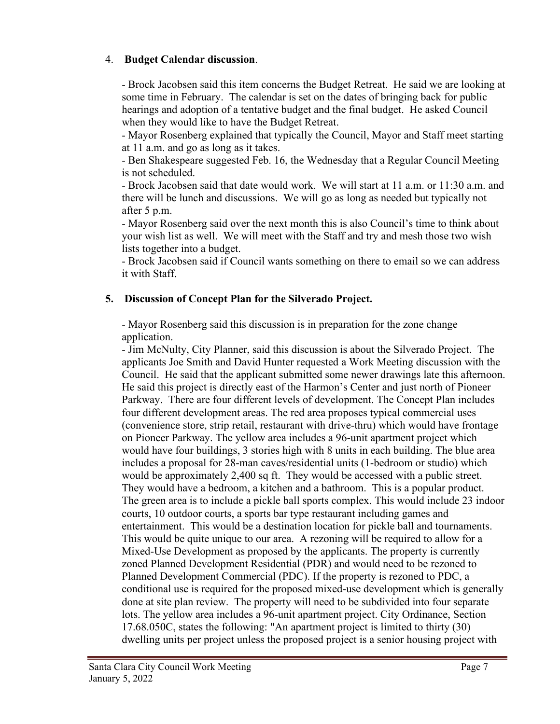#### 4. **Budget Calendar discussion**.

- Brock Jacobsen said this item concerns the Budget Retreat. He said we are looking at some time in February. The calendar is set on the dates of bringing back for public hearings and adoption of a tentative budget and the final budget. He asked Council when they would like to have the Budget Retreat.

- Mayor Rosenberg explained that typically the Council, Mayor and Staff meet starting at 11 a.m. and go as long as it takes.

- Ben Shakespeare suggested Feb. 16, the Wednesday that a Regular Council Meeting is not scheduled.

- Brock Jacobsen said that date would work. We will start at 11 a.m. or 11:30 a.m. and there will be lunch and discussions. We will go as long as needed but typically not after 5 p.m.

- Mayor Rosenberg said over the next month this is also Council's time to think about your wish list as well. We will meet with the Staff and try and mesh those two wish lists together into a budget.

- Brock Jacobsen said if Council wants something on there to email so we can address it with Staff.

## **5. Discussion of Concept Plan for the Silverado Project.**

- Mayor Rosenberg said this discussion is in preparation for the zone change application.

- Jim McNulty, City Planner, said this discussion is about the Silverado Project. The applicants Joe Smith and David Hunter requested a Work Meeting discussion with the Council. He said that the applicant submitted some newer drawings late this afternoon. He said this project is directly east of the Harmon's Center and just north of Pioneer Parkway. There are four different levels of development. The Concept Plan includes four different development areas. The red area proposes typical commercial uses (convenience store, strip retail, restaurant with drive-thru) which would have frontage on Pioneer Parkway. The yellow area includes a 96-unit apartment project which would have four buildings, 3 stories high with 8 units in each building. The blue area includes a proposal for 28-man caves/residential units (1-bedroom or studio) which would be approximately 2,400 sq ft. They would be accessed with a public street. They would have a bedroom, a kitchen and a bathroom. This is a popular product. The green area is to include a pickle ball sports complex. This would include 23 indoor courts, 10 outdoor courts, a sports bar type restaurant including games and entertainment. This would be a destination location for pickle ball and tournaments. This would be quite unique to our area. A rezoning will be required to allow for a Mixed-Use Development as proposed by the applicants. The property is currently zoned Planned Development Residential (PDR) and would need to be rezoned to Planned Development Commercial (PDC). If the property is rezoned to PDC, a conditional use is required for the proposed mixed-use development which is generally done at site plan review. The property will need to be subdivided into four separate lots. The yellow area includes a 96-unit apartment project. City Ordinance, Section 17.68.050C, states the following: "An apartment project is limited to thirty (30) dwelling units per project unless the proposed project is a senior housing project with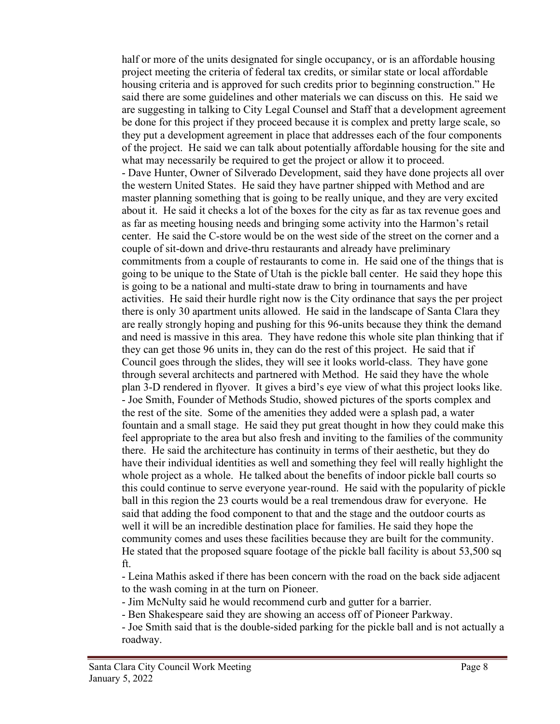half or more of the units designated for single occupancy, or is an affordable housing project meeting the criteria of federal tax credits, or similar state or local affordable housing criteria and is approved for such credits prior to beginning construction." He said there are some guidelines and other materials we can discuss on this. He said we are suggesting in talking to City Legal Counsel and Staff that a development agreement be done for this project if they proceed because it is complex and pretty large scale, so they put a development agreement in place that addresses each of the four components of the project. He said we can talk about potentially affordable housing for the site and what may necessarily be required to get the project or allow it to proceed. - Dave Hunter, Owner of Silverado Development, said they have done projects all over the western United States. He said they have partner shipped with Method and are master planning something that is going to be really unique, and they are very excited about it. He said it checks a lot of the boxes for the city as far as tax revenue goes and as far as meeting housing needs and bringing some activity into the Harmon's retail center. He said the C-store would be on the west side of the street on the corner and a couple of sit-down and drive-thru restaurants and already have preliminary commitments from a couple of restaurants to come in. He said one of the things that is going to be unique to the State of Utah is the pickle ball center. He said they hope this is going to be a national and multi-state draw to bring in tournaments and have activities. He said their hurdle right now is the City ordinance that says the per project there is only 30 apartment units allowed. He said in the landscape of Santa Clara they are really strongly hoping and pushing for this 96-units because they think the demand and need is massive in this area. They have redone this whole site plan thinking that if they can get those 96 units in, they can do the rest of this project. He said that if Council goes through the slides, they will see it looks world-class. They have gone through several architects and partnered with Method. He said they have the whole plan 3-D rendered in flyover. It gives a bird's eye view of what this project looks like. - Joe Smith, Founder of Methods Studio, showed pictures of the sports complex and the rest of the site. Some of the amenities they added were a splash pad, a water fountain and a small stage. He said they put great thought in how they could make this feel appropriate to the area but also fresh and inviting to the families of the community there. He said the architecture has continuity in terms of their aesthetic, but they do have their individual identities as well and something they feel will really highlight the whole project as a whole. He talked about the benefits of indoor pickle ball courts so this could continue to serve everyone year-round. He said with the popularity of pickle ball in this region the 23 courts would be a real tremendous draw for everyone. He said that adding the food component to that and the stage and the outdoor courts as well it will be an incredible destination place for families. He said they hope the community comes and uses these facilities because they are built for the community. He stated that the proposed square footage of the pickle ball facility is about 53,500 sq ft.

- Leina Mathis asked if there has been concern with the road on the back side adjacent to the wash coming in at the turn on Pioneer.

- Jim McNulty said he would recommend curb and gutter for a barrier.

- Ben Shakespeare said they are showing an access off of Pioneer Parkway.

- Joe Smith said that is the double-sided parking for the pickle ball and is not actually a roadway.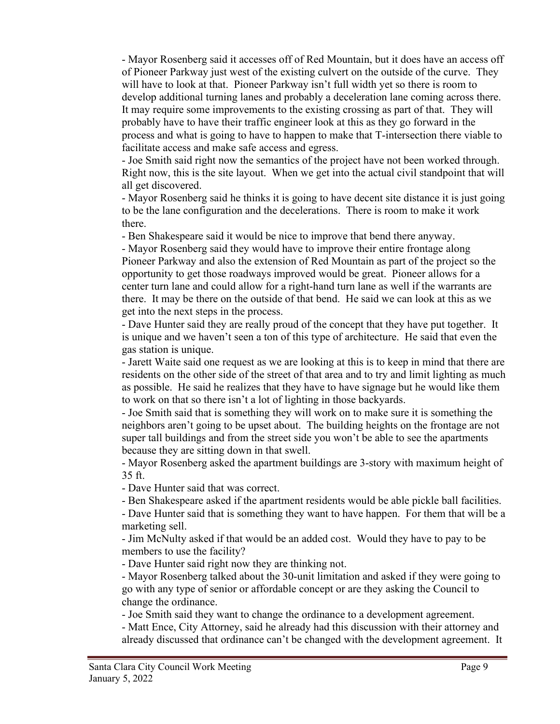- Mayor Rosenberg said it accesses off of Red Mountain, but it does have an access off of Pioneer Parkway just west of the existing culvert on the outside of the curve. They will have to look at that. Pioneer Parkway isn't full width yet so there is room to develop additional turning lanes and probably a deceleration lane coming across there. It may require some improvements to the existing crossing as part of that. They will probably have to have their traffic engineer look at this as they go forward in the process and what is going to have to happen to make that T-intersection there viable to facilitate access and make safe access and egress.

- Joe Smith said right now the semantics of the project have not been worked through. Right now, this is the site layout. When we get into the actual civil standpoint that will all get discovered.

- Mayor Rosenberg said he thinks it is going to have decent site distance it is just going to be the lane configuration and the decelerations. There is room to make it work there.

- Ben Shakespeare said it would be nice to improve that bend there anyway.

- Mayor Rosenberg said they would have to improve their entire frontage along Pioneer Parkway and also the extension of Red Mountain as part of the project so the opportunity to get those roadways improved would be great. Pioneer allows for a center turn lane and could allow for a right-hand turn lane as well if the warrants are there. It may be there on the outside of that bend. He said we can look at this as we get into the next steps in the process.

- Dave Hunter said they are really proud of the concept that they have put together. It is unique and we haven't seen a ton of this type of architecture. He said that even the gas station is unique.

- Jarett Waite said one request as we are looking at this is to keep in mind that there are residents on the other side of the street of that area and to try and limit lighting as much as possible. He said he realizes that they have to have signage but he would like them to work on that so there isn't a lot of lighting in those backyards.

- Joe Smith said that is something they will work on to make sure it is something the neighbors aren't going to be upset about. The building heights on the frontage are not super tall buildings and from the street side you won't be able to see the apartments because they are sitting down in that swell.

- Mayor Rosenberg asked the apartment buildings are 3-story with maximum height of 35 ft.

- Dave Hunter said that was correct.

- Ben Shakespeare asked if the apartment residents would be able pickle ball facilities.

- Dave Hunter said that is something they want to have happen. For them that will be a marketing sell.

- Jim McNulty asked if that would be an added cost. Would they have to pay to be members to use the facility?

- Dave Hunter said right now they are thinking not.

- Mayor Rosenberg talked about the 30-unit limitation and asked if they were going to go with any type of senior or affordable concept or are they asking the Council to change the ordinance.

- Joe Smith said they want to change the ordinance to a development agreement.

- Matt Ence, City Attorney, said he already had this discussion with their attorney and already discussed that ordinance can't be changed with the development agreement. It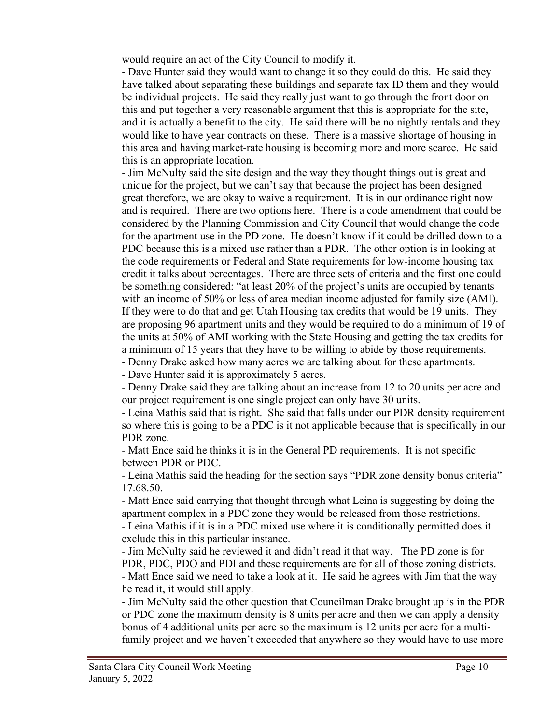would require an act of the City Council to modify it.

- Dave Hunter said they would want to change it so they could do this. He said they have talked about separating these buildings and separate tax ID them and they would be individual projects. He said they really just want to go through the front door on this and put together a very reasonable argument that this is appropriate for the site, and it is actually a benefit to the city. He said there will be no nightly rentals and they would like to have year contracts on these. There is a massive shortage of housing in this area and having market-rate housing is becoming more and more scarce. He said this is an appropriate location.

- Jim McNulty said the site design and the way they thought things out is great and unique for the project, but we can't say that because the project has been designed great therefore, we are okay to waive a requirement. It is in our ordinance right now and is required. There are two options here. There is a code amendment that could be considered by the Planning Commission and City Council that would change the code for the apartment use in the PD zone. He doesn't know if it could be drilled down to a PDC because this is a mixed use rather than a PDR. The other option is in looking at the code requirements or Federal and State requirements for low-income housing tax credit it talks about percentages. There are three sets of criteria and the first one could be something considered: "at least 20% of the project's units are occupied by tenants with an income of 50% or less of area median income adjusted for family size (AMI). If they were to do that and get Utah Housing tax credits that would be 19 units. They are proposing 96 apartment units and they would be required to do a minimum of 19 of the units at 50% of AMI working with the State Housing and getting the tax credits for a minimum of 15 years that they have to be willing to abide by those requirements.

- Denny Drake asked how many acres we are talking about for these apartments.

- Dave Hunter said it is approximately 5 acres.

- Denny Drake said they are talking about an increase from 12 to 20 units per acre and our project requirement is one single project can only have 30 units.

- Leina Mathis said that is right. She said that falls under our PDR density requirement so where this is going to be a PDC is it not applicable because that is specifically in our PDR zone.

- Matt Ence said he thinks it is in the General PD requirements. It is not specific between PDR or PDC.

- Leina Mathis said the heading for the section says "PDR zone density bonus criteria" 17.68.50.

- Matt Ence said carrying that thought through what Leina is suggesting by doing the apartment complex in a PDC zone they would be released from those restrictions. - Leina Mathis if it is in a PDC mixed use where it is conditionally permitted does it

exclude this in this particular instance.

- Jim McNulty said he reviewed it and didn't read it that way. The PD zone is for PDR, PDC, PDO and PDI and these requirements are for all of those zoning districts. - Matt Ence said we need to take a look at it. He said he agrees with Jim that the way he read it, it would still apply.

- Jim McNulty said the other question that Councilman Drake brought up is in the PDR or PDC zone the maximum density is 8 units per acre and then we can apply a density bonus of 4 additional units per acre so the maximum is 12 units per acre for a multifamily project and we haven't exceeded that anywhere so they would have to use more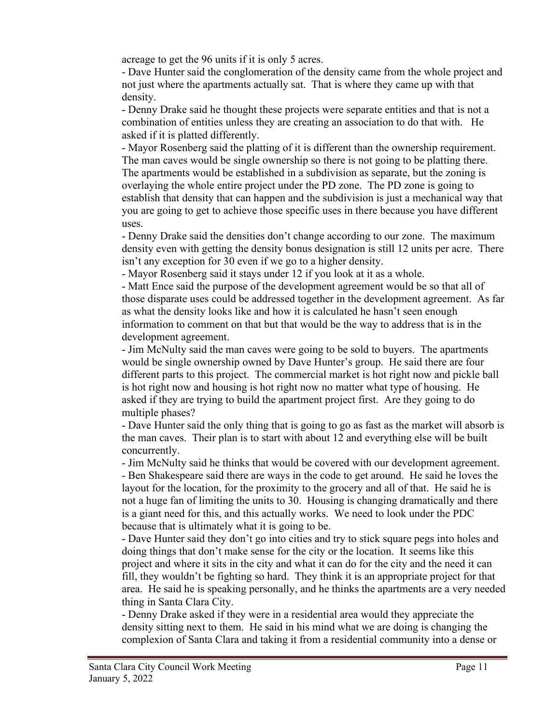acreage to get the 96 units if it is only 5 acres.

- Dave Hunter said the conglomeration of the density came from the whole project and not just where the apartments actually sat. That is where they came up with that density.

- Denny Drake said he thought these projects were separate entities and that is not a combination of entities unless they are creating an association to do that with. He asked if it is platted differently.

- Mayor Rosenberg said the platting of it is different than the ownership requirement. The man caves would be single ownership so there is not going to be platting there. The apartments would be established in a subdivision as separate, but the zoning is overlaying the whole entire project under the PD zone. The PD zone is going to establish that density that can happen and the subdivision is just a mechanical way that you are going to get to achieve those specific uses in there because you have different uses.

- Denny Drake said the densities don't change according to our zone. The maximum density even with getting the density bonus designation is still 12 units per acre. There isn't any exception for 30 even if we go to a higher density.

- Mayor Rosenberg said it stays under 12 if you look at it as a whole.

- Matt Ence said the purpose of the development agreement would be so that all of those disparate uses could be addressed together in the development agreement. As far as what the density looks like and how it is calculated he hasn't seen enough information to comment on that but that would be the way to address that is in the development agreement.

- Jim McNulty said the man caves were going to be sold to buyers. The apartments would be single ownership owned by Dave Hunter's group. He said there are four different parts to this project. The commercial market is hot right now and pickle ball is hot right now and housing is hot right now no matter what type of housing. He asked if they are trying to build the apartment project first. Are they going to do multiple phases?

- Dave Hunter said the only thing that is going to go as fast as the market will absorb is the man caves. Their plan is to start with about 12 and everything else will be built concurrently.

- Jim McNulty said he thinks that would be covered with our development agreement.

- Ben Shakespeare said there are ways in the code to get around. He said he loves the layout for the location, for the proximity to the grocery and all of that. He said he is not a huge fan of limiting the units to 30. Housing is changing dramatically and there is a giant need for this, and this actually works. We need to look under the PDC because that is ultimately what it is going to be.

- Dave Hunter said they don't go into cities and try to stick square pegs into holes and doing things that don't make sense for the city or the location. It seems like this project and where it sits in the city and what it can do for the city and the need it can fill, they wouldn't be fighting so hard. They think it is an appropriate project for that area. He said he is speaking personally, and he thinks the apartments are a very needed thing in Santa Clara City.

- Denny Drake asked if they were in a residential area would they appreciate the density sitting next to them. He said in his mind what we are doing is changing the complexion of Santa Clara and taking it from a residential community into a dense or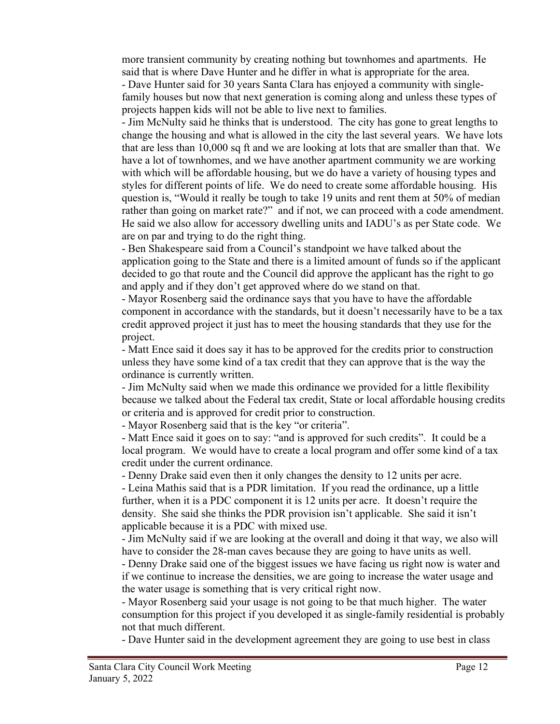more transient community by creating nothing but townhomes and apartments. He said that is where Dave Hunter and he differ in what is appropriate for the area.

- Dave Hunter said for 30 years Santa Clara has enjoyed a community with singlefamily houses but now that next generation is coming along and unless these types of projects happen kids will not be able to live next to families.

- Jim McNulty said he thinks that is understood. The city has gone to great lengths to change the housing and what is allowed in the city the last several years. We have lots that are less than 10,000 sq ft and we are looking at lots that are smaller than that. We have a lot of townhomes, and we have another apartment community we are working with which will be affordable housing, but we do have a variety of housing types and styles for different points of life. We do need to create some affordable housing. His question is, "Would it really be tough to take 19 units and rent them at 50% of median rather than going on market rate?" and if not, we can proceed with a code amendment. He said we also allow for accessory dwelling units and IADU's as per State code. We are on par and trying to do the right thing.

- Ben Shakespeare said from a Council's standpoint we have talked about the application going to the State and there is a limited amount of funds so if the applicant decided to go that route and the Council did approve the applicant has the right to go and apply and if they don't get approved where do we stand on that.

- Mayor Rosenberg said the ordinance says that you have to have the affordable component in accordance with the standards, but it doesn't necessarily have to be a tax credit approved project it just has to meet the housing standards that they use for the project.

- Matt Ence said it does say it has to be approved for the credits prior to construction unless they have some kind of a tax credit that they can approve that is the way the ordinance is currently written.

- Jim McNulty said when we made this ordinance we provided for a little flexibility because we talked about the Federal tax credit, State or local affordable housing credits or criteria and is approved for credit prior to construction.

- Mayor Rosenberg said that is the key "or criteria".

- Matt Ence said it goes on to say: "and is approved for such credits". It could be a local program. We would have to create a local program and offer some kind of a tax credit under the current ordinance.

- Denny Drake said even then it only changes the density to 12 units per acre.

- Leina Mathis said that is a PDR limitation. If you read the ordinance, up a little further, when it is a PDC component it is 12 units per acre. It doesn't require the density. She said she thinks the PDR provision isn't applicable. She said it isn't applicable because it is a PDC with mixed use.

- Jim McNulty said if we are looking at the overall and doing it that way, we also will have to consider the 28-man caves because they are going to have units as well.

- Denny Drake said one of the biggest issues we have facing us right now is water and if we continue to increase the densities, we are going to increase the water usage and the water usage is something that is very critical right now.

- Mayor Rosenberg said your usage is not going to be that much higher. The water consumption for this project if you developed it as single-family residential is probably not that much different.

- Dave Hunter said in the development agreement they are going to use best in class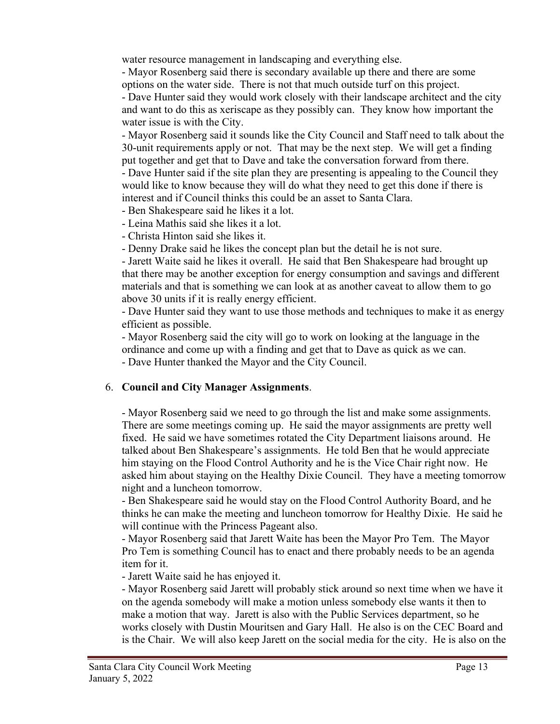water resource management in landscaping and everything else.

- Mayor Rosenberg said there is secondary available up there and there are some options on the water side. There is not that much outside turf on this project.

- Dave Hunter said they would work closely with their landscape architect and the city and want to do this as xeriscape as they possibly can. They know how important the water issue is with the City.

- Mayor Rosenberg said it sounds like the City Council and Staff need to talk about the 30-unit requirements apply or not. That may be the next step. We will get a finding put together and get that to Dave and take the conversation forward from there. - Dave Hunter said if the site plan they are presenting is appealing to the Council they would like to know because they will do what they need to get this done if there is interest and if Council thinks this could be an asset to Santa Clara.

- Ben Shakespeare said he likes it a lot.

- Leina Mathis said she likes it a lot.

- Christa Hinton said she likes it.

- Denny Drake said he likes the concept plan but the detail he is not sure.

- Jarett Waite said he likes it overall. He said that Ben Shakespeare had brought up that there may be another exception for energy consumption and savings and different materials and that is something we can look at as another caveat to allow them to go above 30 units if it is really energy efficient.

- Dave Hunter said they want to use those methods and techniques to make it as energy efficient as possible.

- Mayor Rosenberg said the city will go to work on looking at the language in the ordinance and come up with a finding and get that to Dave as quick as we can. - Dave Hunter thanked the Mayor and the City Council.

## 6. **Council and City Manager Assignments**.

- Mayor Rosenberg said we need to go through the list and make some assignments. There are some meetings coming up. He said the mayor assignments are pretty well fixed. He said we have sometimes rotated the City Department liaisons around. He talked about Ben Shakespeare's assignments. He told Ben that he would appreciate him staying on the Flood Control Authority and he is the Vice Chair right now. He asked him about staying on the Healthy Dixie Council. They have a meeting tomorrow night and a luncheon tomorrow.

- Ben Shakespeare said he would stay on the Flood Control Authority Board, and he thinks he can make the meeting and luncheon tomorrow for Healthy Dixie. He said he will continue with the Princess Pageant also.

- Mayor Rosenberg said that Jarett Waite has been the Mayor Pro Tem. The Mayor Pro Tem is something Council has to enact and there probably needs to be an agenda item for it.

- Jarett Waite said he has enjoyed it.

- Mayor Rosenberg said Jarett will probably stick around so next time when we have it on the agenda somebody will make a motion unless somebody else wants it then to make a motion that way. Jarett is also with the Public Services department, so he works closely with Dustin Mouritsen and Gary Hall. He also is on the CEC Board and is the Chair. We will also keep Jarett on the social media for the city. He is also on the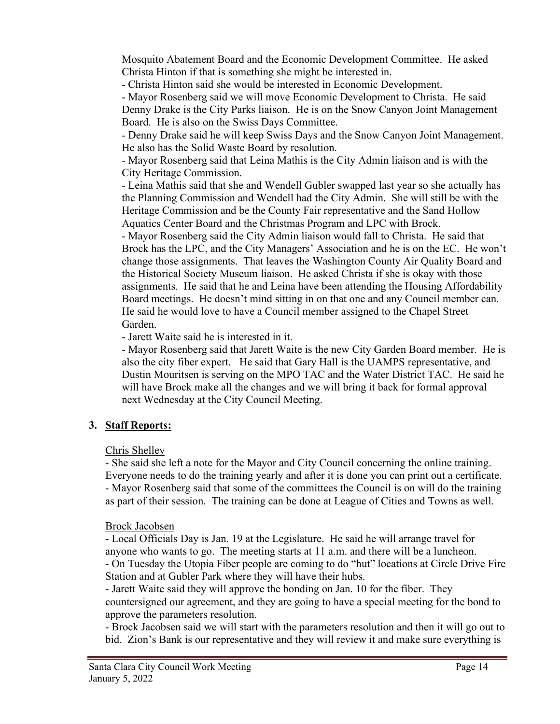Mosquito Abatement Board and the Economic Development Committee. He asked Christa Hinton if that is something she might be interested in.

- Christa Hinton said she would be interested in Economic Development.

- Mayor Rosenberg said we will move Economic Development to Christa. He said Denny Drake is the City Parks liaison. He is on the Snow Canyon Joint Management Board. He is also on the Swiss Days Committee.

- Denny Drake said he will keep Swiss Days and the Snow Canyon Joint Management. He also has the Solid Waste Board by resolution.

- Mayor Rosenberg said that Leina Mathis is the City Admin liaison and is with the City Heritage Commission.

- Leina Mathis said that she and Wendell Gubler swapped last year so she actually has the Planning Commission and Wendell had the City Admin. She will still be with the Heritage Commission and be the County Fair representative and the Sand Hollow Aquatics Center Board and the Christmas Program and LPC with Brock.

- Mayor Rosenberg said the City Admin liaison would fall to Christa. He said that Brock has the LPC, and the City Managers' Association and he is on the EC. He won't change those assignments. That leaves the Washington County Air Quality Board and the Historical Society Museum liaison. He asked Christa if she is okay with those assignments. He said that he and Leina have been attending the Housing Affordability Board meetings. He doesn't mind sitting in on that one and any Council member can. He said he would love to have a Council member assigned to the Chapel Street Garden.

- Jarett Waite said he is interested in it.

- Mayor Rosenberg said that Jarett Waite is the new City Garden Board member. He is also the city fiber expert. He said that Gary Hall is the UAMPS representative, and Dustin Mouritsen is serving on the MPO TAC and the Water District TAC. He said he will have Brock make all the changes and we will bring it back for formal approval next Wednesday at the City Council Meeting.

## **3. Staff Reports:**

## Chris Shelley

- She said she left a note for the Mayor and City Council concerning the online training. Everyone needs to do the training yearly and after it is done you can print out a certificate. - Mayor Rosenberg said that some of the committees the Council is on will do the training as part of their session. The training can be done at League of Cities and Towns as well.

## Brock Jacobsen

- Local Officials Day is Jan. 19 at the Legislature. He said he will arrange travel for anyone who wants to go. The meeting starts at 11 a.m. and there will be a luncheon.

- On Tuesday the Utopia Fiber people are coming to do "hut" locations at Circle Drive Fire Station and at Gubler Park where they will have their hubs.

- Jarett Waite said they will approve the bonding on Jan. 10 for the fiber. They countersigned our agreement, and they are going to have a special meeting for the bond to approve the parameters resolution.

- Brock Jacobsen said we will start with the parameters resolution and then it will go out to bid. Zion's Bank is our representative and they will review it and make sure everything is